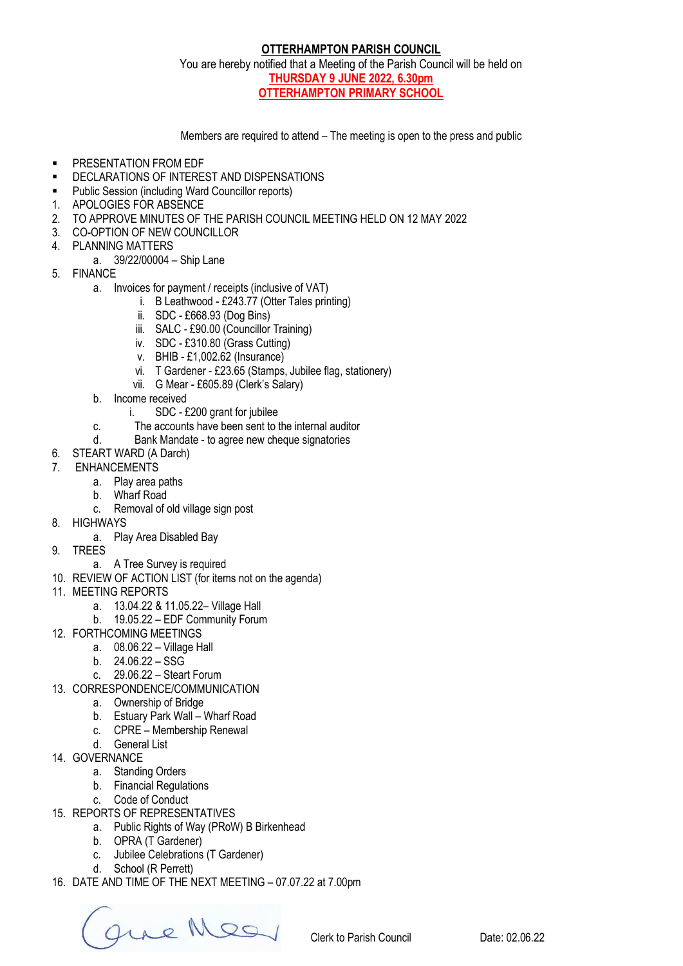## **OTTERHAMPTON PARISH COUNCIL**

You are hereby notified that a Meeting of the Parish Council will be held on **THURSDAY 9 JUNE 2022, 6.30pm OTTERHAMPTON PRIMARY SCHOOL**

Members are required to attend – The meeting is open to the press and public

- **PRESENTATION FROM EDF**
- **DECLARATIONS OF INTEREST AND DISPENSATIONS**
- Public Session (including Ward Councillor reports)
- 1. APOLOGIES FOR ABSENCE
- 2. TO APPROVE MINUTES OF THE PARISH COUNCIL MEETING HELD ON 12 MAY 2022
- 3. CO-OPTION OF NEW COUNCILLOR
- 4. PLANNING MATTERS
- a. 39/22/00004 Ship Lane
- 5. FINANCE
	- a. Invoices for payment / receipts (inclusive of VAT)
		- i. B Leathwood £243.77 (Otter Tales printing)
		- ii. SDC £668.93 (Dog Bins)
		- iii. SALC £90.00 (Councillor Training)
		- iv. SDC £310.80 (Grass Cutting)
		- v. BHIB £1,002.62 (Insurance)
		- vi. T Gardener £23.65 (Stamps, Jubilee flag, stationery)
		- vii. G Mear £605.89 (Clerk's Salary)
	- b. Income received
		- i. SDC £200 grant for jubilee
	- c. The accounts have been sent to the internal auditor
	- d. Bank Mandate to agree new cheque signatories
- 6. STEART WARD (A Darch)
- 7. ENHANCEMENTS
	- a. Play area paths
	- b. Wharf Road
	- c. Removal of old village sign post
- 8. HIGHWAYS
	- a. Play Area Disabled Bay
- 9. TREES
	- a. A Tree Survey is required
- 10. REVIEW OF ACTION LIST (for items not on the agenda)
- 11. MEETING REPORTS
	- a. 13.04.22 & 11.05.22– Village Hall
	- b. 19.05.22 EDF Community Forum
- 12. FORTHCOMING MEETINGS
	- a. 08.06.22 Village Hall
	- b. 24.06.22 SSG
	- c. 29.06.22 Steart Forum
- 13. CORRESPONDENCE/COMMUNICATION
	- a. Ownership of Bridge
	- b. Estuary Park Wall Wharf Road
	- c. CPRE Membership Renewal
	- d. General List
- 14. GOVERNANCE
	- a. Standing Orders
	- b. Financial Regulations
	- c. Code of Conduct
- 15. REPORTS OF REPRESENTATIVES
	- a. Public Rights of Way (PRoW) B Birkenhead
	- b. OPRA (T Gardener)
		- c. Jubilee Celebrations (T Gardener)
		- d. School (R Perrett)
- 16. DATE AND TIME OF THE NEXT MEETING 07.07.22 at 7.00pm

Que Meg